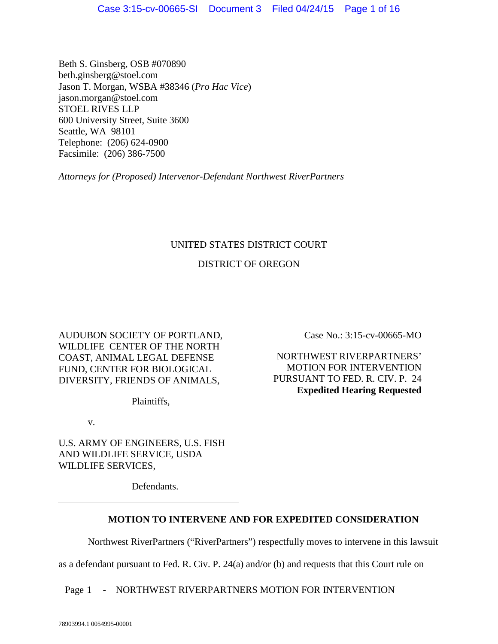Beth S. Ginsberg, OSB #070890 beth.ginsberg@stoel.com Jason T. Morgan, WSBA #38346 (*Pro Hac Vice*) jason.morgan@stoel.com STOEL RIVES LLP 600 University Street, Suite 3600 Seattle, WA 98101 Telephone: (206) 624-0900 Facsimile: (206) 386-7500

*Attorneys for (Proposed) Intervenor-Defendant Northwest RiverPartners*

## UNITED STATES DISTRICT COURT

# DISTRICT OF OREGON

AUDUBON SOCIETY OF PORTLAND, WILDLIFE CENTER OF THE NORTH COAST, ANIMAL LEGAL DEFENSE FUND, CENTER FOR BIOLOGICAL DIVERSITY, FRIENDS OF ANIMALS,

Plaintiffs,

v.

U.S. ARMY OF ENGINEERS, U.S. FISH AND WILDLIFE SERVICE, USDA WILDLIFE SERVICES,

Defendants.

# **MOTION TO INTERVENE AND FOR EXPEDITED CONSIDERATION**

Northwest RiverPartners ("RiverPartners") respectfully moves to intervene in this lawsuit

<span id="page-0-0"></span>as a defendant pursuant to Fed. R. Civ. P. 24(a) and/or (b) and requests that this Court rule on

Page 1 - NORTHWEST RIVERPARTNERS MOTION FOR INTERVENTION

Case No.: 3:15-cv-00665-MO

NORTHWEST RIVERPARTNERS' MOTION FOR INTERVENTION PURSUANT TO FED. R. CIV. P. 24 **Expedited Hearing Requested**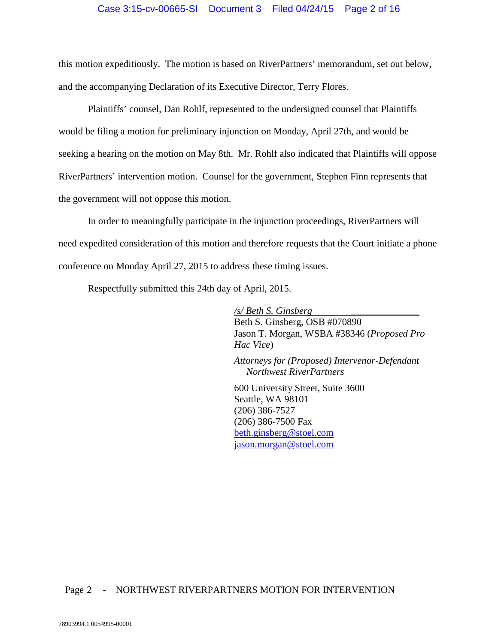## Case 3:15-cv-00665-SI Document 3 Filed 04/24/15 Page 2 of 16

this motion expeditiously. The motion is based on RiverPartners' memorandum, set out below, and the accompanying Declaration of its Executive Director, Terry Flores.

Plaintiffs' counsel, Dan Rohlf, represented to the undersigned counsel that Plaintiffs would be filing a motion for preliminary injunction on Monday, April 27th, and would be seeking a hearing on the motion on May 8th. Mr. Rohlf also indicated that Plaintiffs will oppose RiverPartners' intervention motion. Counsel for the government, Stephen Finn represents that the government will not oppose this motion.

In order to meaningfully participate in the injunction proceedings, RiverPartners will need expedited consideration of this motion and therefore requests that the Court initiate a phone conference on Monday April 27, 2015 to address these timing issues.

Respectfully submitted this 24th day of April, 2015.

*/s/ Beth S. Ginsberg \_\_\_\_\_\_\_\_\_\_\_\_\_\_* Beth S. Ginsberg, OSB #070890 Jason T. Morgan, WSBA #38346 (*Proposed Pro Hac Vice*)

*Attorneys for (Proposed) Intervenor-Defendant Northwest RiverPartners*

600 University Street, Suite 3600 Seattle, WA 98101 (206) 386-7527 (206) 386-7500 Fax [beth.ginsberg@stoel.com](mailto:beth.ginsberg@stoel.com) [jason.morgan@stoel.com](mailto:jason.morgan@stoel.com)

## Page 2 - NORTHWEST RIVERPARTNERS MOTION FOR INTERVENTION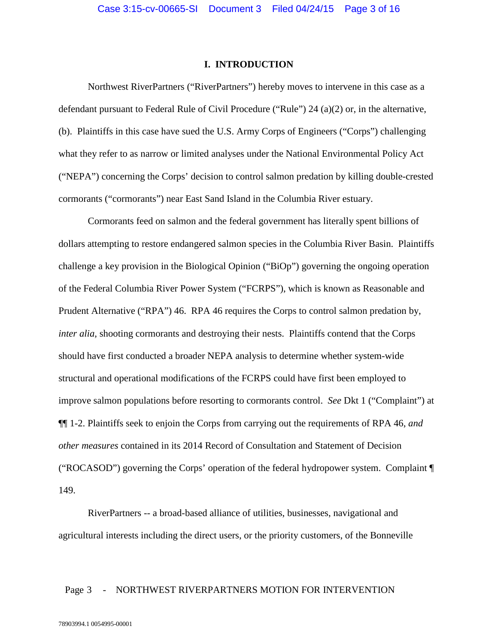#### **I. INTRODUCTION**

Northwest RiverPartners ("RiverPartners") hereby moves to intervene in this case as a defendant pursuant to Federal Rule of Civil Procedure ("Rule") 24 (a)(2) or, in the alternative, (b). Plaintiffs in this case have sued the U.S. Army Corps of Engineers ("Corps") challenging what they refer to as narrow or limited analyses under the National Environmental Policy Act ("NEPA") concerning the Corps' decision to control salmon predation by killing double-crested cormorants ("cormorants") near East Sand Island in the Columbia River estuary.

Cormorants feed on salmon and the federal government has literally spent billions of dollars attempting to restore endangered salmon species in the Columbia River Basin. Plaintiffs challenge a key provision in the Biological Opinion ("BiOp") governing the ongoing operation of the Federal Columbia River Power System ("FCRPS"), which is known as Reasonable and Prudent Alternative ("RPA") 46. RPA 46 requires the Corps to control salmon predation by, *inter alia*, shooting cormorants and destroying their nests. Plaintiffs contend that the Corps should have first conducted a broader NEPA analysis to determine whether system-wide structural and operational modifications of the FCRPS could have first been employed to improve salmon populations before resorting to cormorants control. *See* Dkt 1 ("Complaint") at ¶¶ 1-2. Plaintiffs seek to enjoin the Corps from carrying out the requirements of RPA 46, *and other measures* contained in its 2014 Record of Consultation and Statement of Decision ("ROCASOD") governing the Corps' operation of the federal hydropower system. Complaint ¶ 149.

RiverPartners -- a broad-based alliance of utilities, businesses, navigational and agricultural interests including the direct users, or the priority customers, of the Bonneville

## Page 3 - NORTHWEST RIVERPARTNERS MOTION FOR INTERVENTION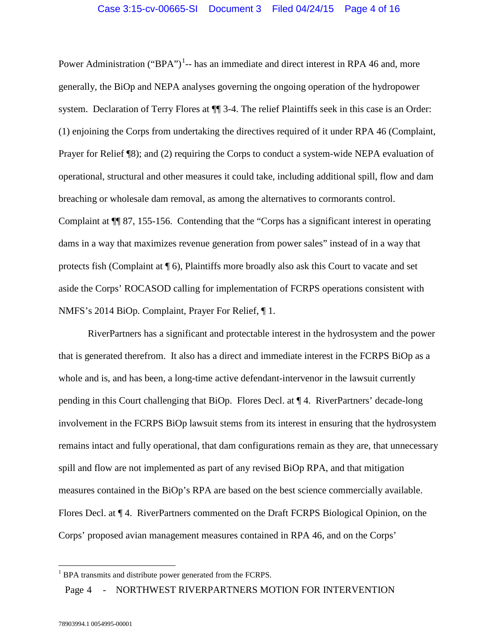Power Administration ("BPA")<sup>[1](#page-0-0)</sup>-- has an immediate and direct interest in RPA 46 and, more generally, the BiOp and NEPA analyses governing the ongoing operation of the hydropower system. Declaration of Terry Flores at  $\P$  3-4. The relief Plaintiffs seek in this case is an Order: (1) enjoining the Corps from undertaking the directives required of it under RPA 46 (Complaint, Prayer for Relief ¶8); and (2) requiring the Corps to conduct a system-wide NEPA evaluation of operational, structural and other measures it could take, including additional spill, flow and dam breaching or wholesale dam removal, as among the alternatives to cormorants control. Complaint at ¶¶ 87, 155-156. Contending that the "Corps has a significant interest in operating dams in a way that maximizes revenue generation from power sales" instead of in a way that protects fish (Complaint at ¶ 6), Plaintiffs more broadly also ask this Court to vacate and set aside the Corps' ROCASOD calling for implementation of FCRPS operations consistent with NMFS's 2014 BiOp. Complaint, Prayer For Relief, ¶ 1.

RiverPartners has a significant and protectable interest in the hydrosystem and the power that is generated therefrom. It also has a direct and immediate interest in the FCRPS BiOp as a whole and is, and has been, a long-time active defendant-intervenor in the lawsuit currently pending in this Court challenging that BiOp. Flores Decl. at ¶ 4. RiverPartners' decade-long involvement in the FCRPS BiOp lawsuit stems from its interest in ensuring that the hydrosystem remains intact and fully operational, that dam configurations remain as they are, that unnecessary spill and flow are not implemented as part of any revised BiOp RPA, and that mitigation measures contained in the BiOp's RPA are based on the best science commercially available. Flores Decl. at ¶ 4. RiverPartners commented on the Draft FCRPS Biological Opinion, on the Corps' proposed avian management measures contained in RPA 46, and on the Corps'

Page 4 - NORTHWEST RIVERPARTNERS MOTION FOR INTERVENTION

 <sup>1</sup> BPA transmits and distribute power generated from the FCRPS.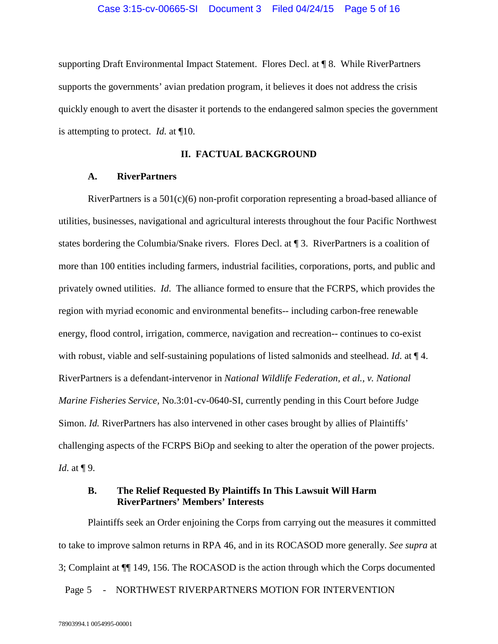supporting Draft Environmental Impact Statement. Flores Decl. at ¶ 8. While RiverPartners supports the governments' avian predation program, it believes it does not address the crisis quickly enough to avert the disaster it portends to the endangered salmon species the government is attempting to protect. *Id.* at ¶10.

### **II. FACTUAL BACKGROUND**

### **A. RiverPartners**

RiverPartners is a 501(c)(6) non-profit corporation representing a broad-based alliance of utilities, businesses, navigational and agricultural interests throughout the four Pacific Northwest states bordering the Columbia/Snake rivers. Flores Decl. at ¶ 3. RiverPartners is a coalition of more than 100 entities including farmers, industrial facilities, corporations, ports, and public and privately owned utilities. *Id*. The alliance formed to ensure that the FCRPS, which provides the region with myriad economic and environmental benefits-- including carbon-free renewable energy, flood control, irrigation, commerce, navigation and recreation-- continues to co-exist with robust, viable and self-sustaining populations of listed salmonids and steelhead. *Id*. at ¶ 4. RiverPartners is a defendant-intervenor in *National Wildlife Federation, et al., v. National Marine Fisheries Service,* No.3:01-cv-0640-SI, currently pending in this Court before Judge Simon. *Id.* RiverPartners has also intervened in other cases brought by allies of Plaintiffs' challenging aspects of the FCRPS BiOp and seeking to alter the operation of the power projects. *Id.* at  $\P$ 9.

## **B. The Relief Requested By Plaintiffs In This Lawsuit Will Harm RiverPartners' Members' Interests**

Page 5 - NORTHWEST RIVERPARTNERS MOTION FOR INTERVENTION Plaintiffs seek an Order enjoining the Corps from carrying out the measures it committed to take to improve salmon returns in RPA 46, and in its ROCASOD more generally. *See supra* at 3; Complaint at ¶¶ 149, 156. The ROCASOD is the action through which the Corps documented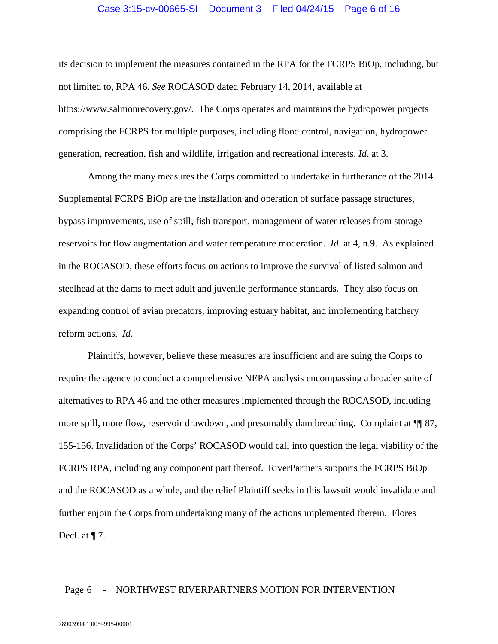### Case 3:15-cv-00665-SI Document 3 Filed 04/24/15 Page 6 of 16

its decision to implement the measures contained in the RPA for the FCRPS BiOp, including, but not limited to, RPA 46. *See* ROCASOD dated February 14, 2014, available at https://www.salmonrecovery.gov/. The Corps operates and maintains the hydropower projects comprising the FCRPS for multiple purposes, including flood control, navigation, hydropower generation, recreation, fish and wildlife, irrigation and recreational interests. *Id*. at 3.

Among the many measures the Corps committed to undertake in furtherance of the 2014 Supplemental FCRPS BiOp are the installation and operation of surface passage structures, bypass improvements, use of spill, fish transport, management of water releases from storage reservoirs for flow augmentation and water temperature moderation. *Id*. at 4, n.9. As explained in the ROCASOD, these efforts focus on actions to improve the survival of listed salmon and steelhead at the dams to meet adult and juvenile performance standards. They also focus on expanding control of avian predators, improving estuary habitat, and implementing hatchery reform actions. *Id.*

Plaintiffs, however, believe these measures are insufficient and are suing the Corps to require the agency to conduct a comprehensive NEPA analysis encompassing a broader suite of alternatives to RPA 46 and the other measures implemented through the ROCASOD, including more spill, more flow, reservoir drawdown, and presumably dam breaching. Complaint at  $\P$  87, 155-156. Invalidation of the Corps' ROCASOD would call into question the legal viability of the FCRPS RPA, including any component part thereof. RiverPartners supports the FCRPS BiOp and the ROCASOD as a whole, and the relief Plaintiff seeks in this lawsuit would invalidate and further enjoin the Corps from undertaking many of the actions implemented therein. Flores Decl. at  $\P$  7.

## Page 6 - NORTHWEST RIVERPARTNERS MOTION FOR INTERVENTION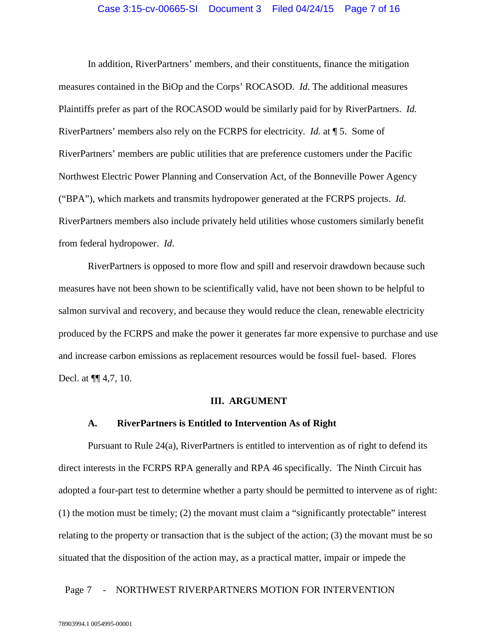In addition, RiverPartners' members, and their constituents, finance the mitigation measures contained in the BiOp and the Corps' ROCASOD. *Id*. The additional measures Plaintiffs prefer as part of the ROCASOD would be similarly paid for by RiverPartners. *Id.*  RiverPartners' members also rely on the FCRPS for electricity. *Id.* at ¶ 5. Some of RiverPartners' members are public utilities that are preference customers under the Pacific Northwest Electric Power Planning and Conservation Act, of the Bonneville Power Agency ("BPA"), which markets and transmits hydropower generated at the FCRPS projects. *Id*. RiverPartners members also include privately held utilities whose customers similarly benefit from federal hydropower. *Id*.

RiverPartners is opposed to more flow and spill and reservoir drawdown because such measures have not been shown to be scientifically valid, have not been shown to be helpful to salmon survival and recovery, and because they would reduce the clean, renewable electricity produced by the FCRPS and make the power it generates far more expensive to purchase and use and increase carbon emissions as replacement resources would be fossil fuel- based. Flores Decl. at ¶¶ 4,7, 10.

#### **III. ARGUMENT**

#### **A. RiverPartners is Entitled to Intervention As of Right**

Pursuant to Rule 24(a), RiverPartners is entitled to intervention as of right to defend its direct interests in the FCRPS RPA generally and RPA 46 specifically. The Ninth Circuit has adopted a four-part test to determine whether a party should be permitted to intervene as of right: (1) the motion must be timely; (2) the movant must claim a "significantly protectable" interest relating to the property or transaction that is the subject of the action; (3) the movant must be so situated that the disposition of the action may, as a practical matter, impair or impede the

## Page 7 - NORTHWEST RIVERPARTNERS MOTION FOR INTERVENTION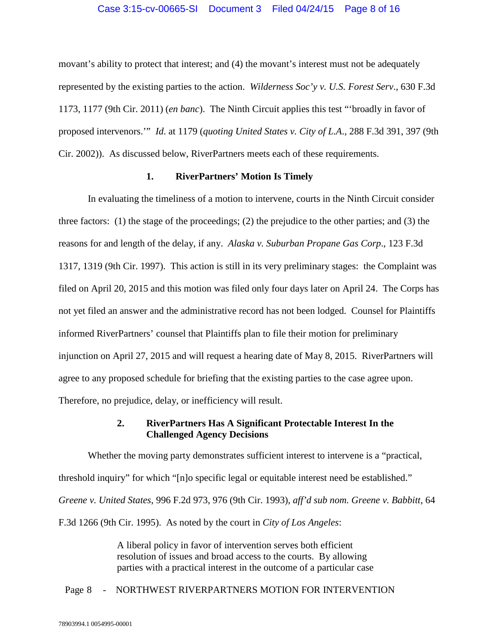## Case 3:15-cv-00665-SI Document 3 Filed 04/24/15 Page 8 of 16

movant's ability to protect that interest; and (4) the movant's interest must not be adequately represented by the existing parties to the action. *Wilderness Soc'y v. U.S. Forest Serv*., 630 F.3d 1173, 1177 (9th Cir. 2011) (*en banc*). The Ninth Circuit applies this test "'broadly in favor of proposed intervenors.'" *Id*. at 1179 (*quoting United States v. City of L.A*., 288 F.3d 391, 397 (9th Cir. 2002)). As discussed below, RiverPartners meets each of these requirements.

## **1. RiverPartners' Motion Is Timely**

In evaluating the timeliness of a motion to intervene, courts in the Ninth Circuit consider three factors: (1) the stage of the proceedings; (2) the prejudice to the other parties; and (3) the reasons for and length of the delay, if any. *Alaska v. Suburban Propane Gas Corp*., 123 F.3d 1317, 1319 (9th Cir. 1997). This action is still in its very preliminary stages: the Complaint was filed on April 20, 2015 and this motion was filed only four days later on April 24. The Corps has not yet filed an answer and the administrative record has not been lodged. Counsel for Plaintiffs informed RiverPartners' counsel that Plaintiffs plan to file their motion for preliminary injunction on April 27, 2015 and will request a hearing date of May 8, 2015. RiverPartners will agree to any proposed schedule for briefing that the existing parties to the case agree upon. Therefore, no prejudice, delay, or inefficiency will result.

## **2. RiverPartners Has A Significant Protectable Interest In the Challenged Agency Decisions**

Whether the moving party demonstrates sufficient interest to intervene is a "practical, threshold inquiry" for which "[n]o specific legal or equitable interest need be established." *Greene v. United States*, 996 F.2d 973, 976 (9th Cir. 1993), *aff'd sub nom. Greene v. Babbitt*, 64 F.3d 1266 (9th Cir. 1995). As noted by the court in *City of Los Angeles*:

> A liberal policy in favor of intervention serves both efficient resolution of issues and broad access to the courts. By allowing parties with a practical interest in the outcome of a particular case

### Page 8 - NORTHWEST RIVERPARTNERS MOTION FOR INTERVENTION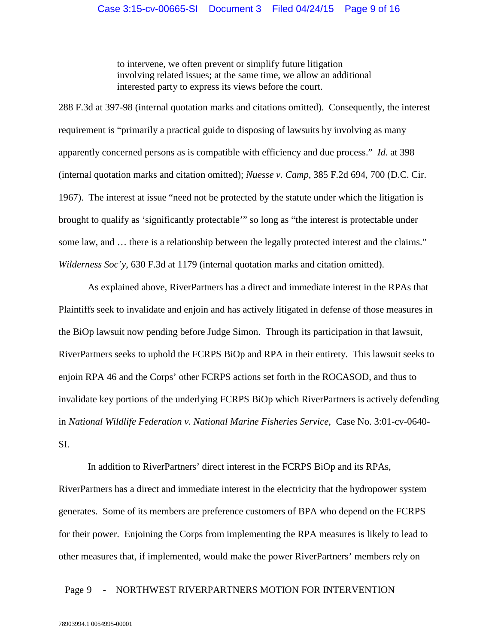to intervene, we often prevent or simplify future litigation involving related issues; at the same time, we allow an additional interested party to express its views before the court.

288 F.3d at 397-98 (internal quotation marks and citations omitted). Consequently, the interest requirement is "primarily a practical guide to disposing of lawsuits by involving as many apparently concerned persons as is compatible with efficiency and due process." *Id*. at 398 (internal quotation marks and citation omitted); *Nuesse v. Camp*, 385 F.2d 694, 700 (D.C. Cir. 1967). The interest at issue "need not be protected by the statute under which the litigation is brought to qualify as 'significantly protectable'" so long as "the interest is protectable under some law, and … there is a relationship between the legally protected interest and the claims." *Wilderness Soc'y*, 630 F.3d at 1179 (internal quotation marks and citation omitted).

As explained above, RiverPartners has a direct and immediate interest in the RPAs that Plaintiffs seek to invalidate and enjoin and has actively litigated in defense of those measures in the BiOp lawsuit now pending before Judge Simon. Through its participation in that lawsuit, RiverPartners seeks to uphold the FCRPS BiOp and RPA in their entirety. This lawsuit seeks to enjoin RPA 46 and the Corps' other FCRPS actions set forth in the ROCASOD, and thus to invalidate key portions of the underlying FCRPS BiOp which RiverPartners is actively defending in *National Wildlife Federation v. National Marine Fisheries Service*, Case No. 3:01-cv-0640- SI.

In addition to RiverPartners' direct interest in the FCRPS BiOp and its RPAs, RiverPartners has a direct and immediate interest in the electricity that the hydropower system generates. Some of its members are preference customers of BPA who depend on the FCRPS for their power. Enjoining the Corps from implementing the RPA measures is likely to lead to other measures that, if implemented, would make the power RiverPartners' members rely on

## Page 9 - NORTHWEST RIVERPARTNERS MOTION FOR INTERVENTION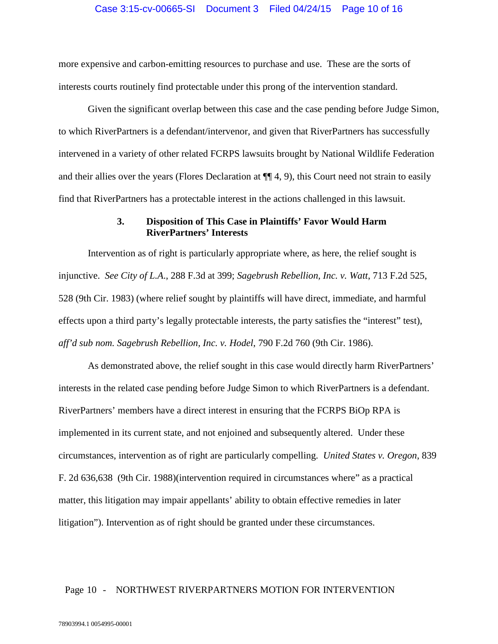more expensive and carbon-emitting resources to purchase and use. These are the sorts of interests courts routinely find protectable under this prong of the intervention standard.

Given the significant overlap between this case and the case pending before Judge Simon, to which RiverPartners is a defendant/intervenor, and given that RiverPartners has successfully intervened in a variety of other related FCRPS lawsuits brought by National Wildlife Federation and their allies over the years (Flores Declaration at ¶¶ 4, 9), this Court need not strain to easily find that RiverPartners has a protectable interest in the actions challenged in this lawsuit.

## **3. Disposition of This Case in Plaintiffs' Favor Would Harm RiverPartners' Interests**

Intervention as of right is particularly appropriate where, as here, the relief sought is injunctive. *See City of L.A*., 288 F.3d at 399; *Sagebrush Rebellion, Inc. v. Watt*, 713 F.2d 525, 528 (9th Cir. 1983) (where relief sought by plaintiffs will have direct, immediate, and harmful effects upon a third party's legally protectable interests, the party satisfies the "interest" test), *aff'd sub nom. Sagebrush Rebellion, Inc. v. Hodel*, 790 F.2d 760 (9th Cir. 1986).

As demonstrated above, the relief sought in this case would directly harm RiverPartners' interests in the related case pending before Judge Simon to which RiverPartners is a defendant. RiverPartners' members have a direct interest in ensuring that the FCRPS BiOp RPA is implemented in its current state, and not enjoined and subsequently altered. Under these circumstances, intervention as of right are particularly compelling. *United States v. Oregon*, 839 F. 2d 636,638 (9th Cir. 1988)(intervention required in circumstances where" as a practical matter, this litigation may impair appellants' ability to obtain effective remedies in later litigation"). Intervention as of right should be granted under these circumstances.

## Page 10 - NORTHWEST RIVERPARTNERS MOTION FOR INTERVENTION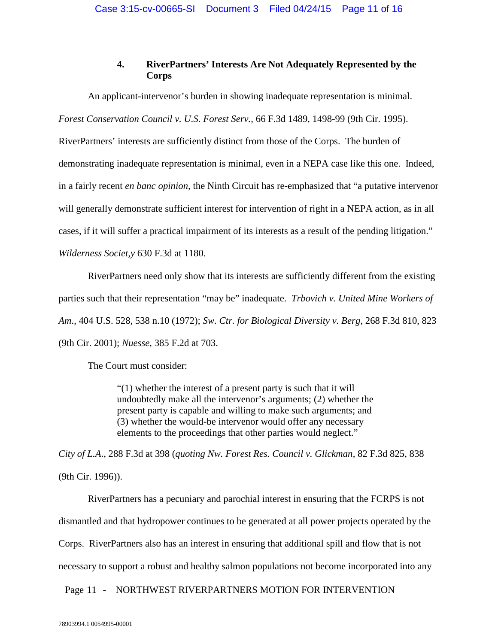# **4. RiverPartners' Interests Are Not Adequately Represented by the Corps**

An applicant-intervenor's burden in showing inadequate representation is minimal.

*Forest Conservation Council v. U.S. Forest Serv.,* 66 F.3d 1489, 1498-99 (9th Cir. 1995).

RiverPartners' interests are sufficiently distinct from those of the Corps. The burden of demonstrating inadequate representation is minimal, even in a NEPA case like this one. Indeed, in a fairly recent *en banc opinion,* the Ninth Circuit has re-emphasized that "a putative intervenor will generally demonstrate sufficient interest for intervention of right in a NEPA action, as in all cases, if it will suffer a practical impairment of its interests as a result of the pending litigation." *Wilderness Societ,y* 630 F.3d at 1180.

RiverPartners need only show that its interests are sufficiently different from the existing parties such that their representation "may be" inadequate. *Trbovich v. United Mine Workers of Am*., 404 U.S. 528, 538 n.10 (1972); *Sw. Ctr. for Biological Diversity v. Berg*, 268 F.3d 810, 823 (9th Cir. 2001); *Nuesse*, 385 F.2d at 703.

The Court must consider:

"(1) whether the interest of a present party is such that it will undoubtedly make all the intervenor's arguments; (2) whether the present party is capable and willing to make such arguments; and (3) whether the would-be intervenor would offer any necessary elements to the proceedings that other parties would neglect."

*City of L.A*., 288 F.3d at 398 (*quoting Nw. Forest Res. Council v. Glickman*, 82 F.3d 825, 838 (9th Cir. 1996)).

RiverPartners has a pecuniary and parochial interest in ensuring that the FCRPS is not dismantled and that hydropower continues to be generated at all power projects operated by the Corps. RiverPartners also has an interest in ensuring that additional spill and flow that is not necessary to support a robust and healthy salmon populations not become incorporated into any

Page 11 - NORTHWEST RIVERPARTNERS MOTION FOR INTERVENTION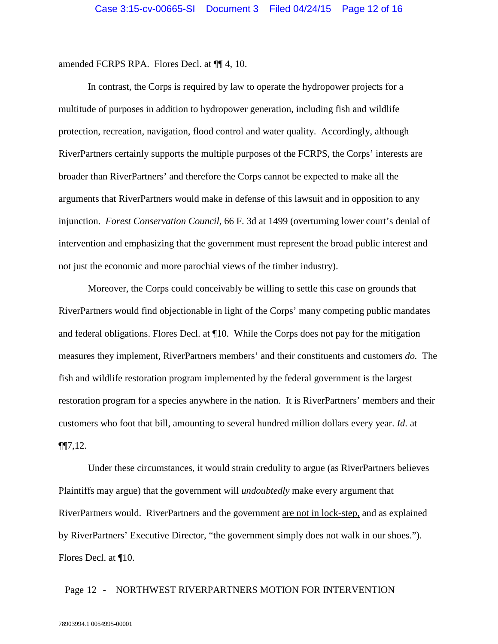amended FCRPS RPA. Flores Decl. at ¶¶ 4, 10.

In contrast, the Corps is required by law to operate the hydropower projects for a multitude of purposes in addition to hydropower generation, including fish and wildlife protection, recreation, navigation, flood control and water quality. Accordingly, although RiverPartners certainly supports the multiple purposes of the FCRPS, the Corps' interests are broader than RiverPartners' and therefore the Corps cannot be expected to make all the arguments that RiverPartners would make in defense of this lawsuit and in opposition to any injunction. *Forest Conservation Council*, 66 F. 3d at 1499 (overturning lower court's denial of intervention and emphasizing that the government must represent the broad public interest and not just the economic and more parochial views of the timber industry).

Moreover, the Corps could conceivably be willing to settle this case on grounds that RiverPartners would find objectionable in light of the Corps' many competing public mandates and federal obligations. Flores Decl. at ¶10. While the Corps does not pay for the mitigation measures they implement, RiverPartners members' and their constituents and customers *do.* The fish and wildlife restoration program implemented by the federal government is the largest restoration program for a species anywhere in the nation. It is RiverPartners' members and their customers who foot that bill, amounting to several hundred million dollars every year. *Id*. at ¶¶7,12.

Under these circumstances, it would strain credulity to argue (as RiverPartners believes Plaintiffs may argue) that the government will *undoubtedly* make every argument that RiverPartners would. RiverPartners and the government are not in lock-step, and as explained by RiverPartners' Executive Director, "the government simply does not walk in our shoes."). Flores Decl. at ¶10.

## Page 12 - NORTHWEST RIVERPARTNERS MOTION FOR INTERVENTION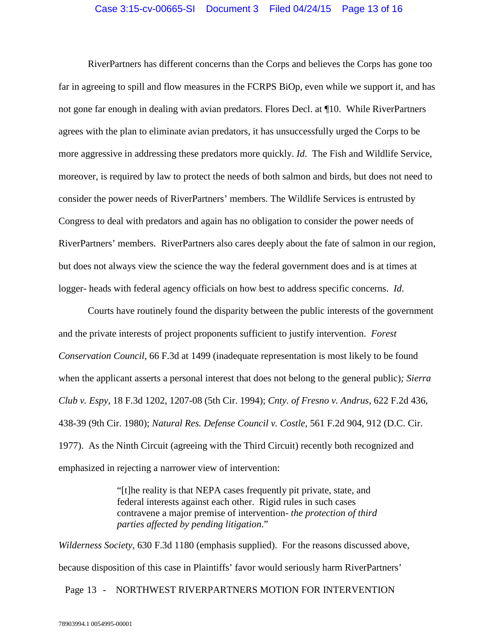### Case 3:15-cv-00665-SI Document 3 Filed 04/24/15 Page 13 of 16

RiverPartners has different concerns than the Corps and believes the Corps has gone too far in agreeing to spill and flow measures in the FCRPS BiOp, even while we support it, and has not gone far enough in dealing with avian predators. Flores Decl. at ¶10. While RiverPartners agrees with the plan to eliminate avian predators, it has unsuccessfully urged the Corps to be more aggressive in addressing these predators more quickly. *Id*. The Fish and Wildlife Service, moreover, is required by law to protect the needs of both salmon and birds, but does not need to consider the power needs of RiverPartners' members. The Wildlife Services is entrusted by Congress to deal with predators and again has no obligation to consider the power needs of RiverPartners' members. RiverPartners also cares deeply about the fate of salmon in our region, but does not always view the science the way the federal government does and is at times at logger- heads with federal agency officials on how best to address specific concerns. *Id*.

Courts have routinely found the disparity between the public interests of the government and the private interests of project proponents sufficient to justify intervention. *Forest Conservation Council,* 66 F.3d at 1499 (inadequate representation is most likely to be found when the applicant asserts a personal interest that does not belong to the general public)*; Sierra Club v. Espy*, 18 F.3d 1202, 1207-08 (5th Cir. 1994); *Cnty. of Fresno v. Andrus*, 622 F.2d 436, 438-39 (9th Cir. 1980); *Natural Res. Defense Council v. Costle*, 561 F.2d 904, 912 (D.C. Cir. 1977). As the Ninth Circuit (agreeing with the Third Circuit) recently both recognized and emphasized in rejecting a narrower view of intervention:

> "[t]he reality is that NEPA cases frequently pit private, state, and federal interests against each other. Rigid rules in such cases contravene a major premise of intervention- *the protection of third parties affected by pending litigation*."

*Wilderness Society*, 630 F.3d 1180 (emphasis supplied). For the reasons discussed above, because disposition of this case in Plaintiffs' favor would seriously harm RiverPartners'

## Page 13 - NORTHWEST RIVERPARTNERS MOTION FOR INTERVENTION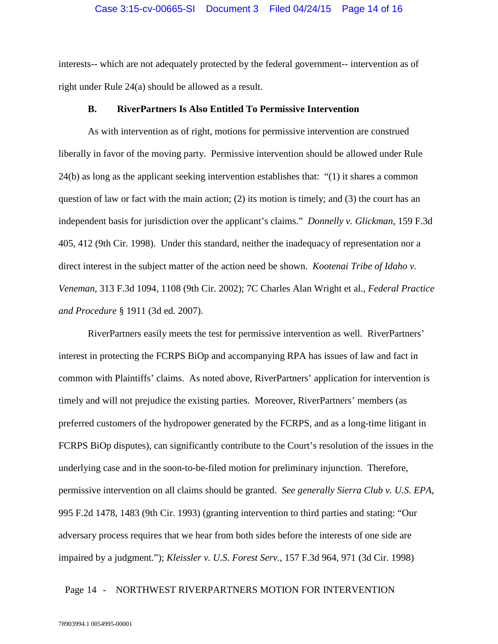#### Case 3:15-cv-00665-SI Document 3 Filed 04/24/15 Page 14 of 16

interests-- which are not adequately protected by the federal government-- intervention as of right under Rule 24(a) should be allowed as a result.

### **B. RiverPartners Is Also Entitled To Permissive Intervention**

As with intervention as of right, motions for permissive intervention are construed liberally in favor of the moving party. Permissive intervention should be allowed under Rule 24(b) as long as the applicant seeking intervention establishes that: "(1) it shares a common question of law or fact with the main action; (2) its motion is timely; and (3) the court has an independent basis for jurisdiction over the applicant's claims." *Donnelly v. Glickman*, 159 F.3d 405, 412 (9th Cir. 1998). Under this standard, neither the inadequacy of representation nor a direct interest in the subject matter of the action need be shown. *Kootenai Tribe of Idaho v. Veneman*, 313 F.3d 1094, 1108 (9th Cir. 2002); 7C Charles Alan Wright et al., *Federal Practice and Procedure* § 1911 (3d ed. 2007).

RiverPartners easily meets the test for permissive intervention as well. RiverPartners' interest in protecting the FCRPS BiOp and accompanying RPA has issues of law and fact in common with Plaintiffs' claims. As noted above, RiverPartners' application for intervention is timely and will not prejudice the existing parties. Moreover, RiverPartners' members (as preferred customers of the hydropower generated by the FCRPS, and as a long-time litigant in FCRPS BiOp disputes), can significantly contribute to the Court's resolution of the issues in the underlying case and in the soon-to-be-filed motion for preliminary injunction. Therefore, permissive intervention on all claims should be granted. *See generally Sierra Club v. U.S. EPA*, 995 F.2d 1478, 1483 (9th Cir. 1993) (granting intervention to third parties and stating: "Our adversary process requires that we hear from both sides before the interests of one side are impaired by a judgment."); *Kleissler v. U.S. Forest Serv.*, 157 F.3d 964, 971 (3d Cir. 1998)

## Page 14 - NORTHWEST RIVERPARTNERS MOTION FOR INTERVENTION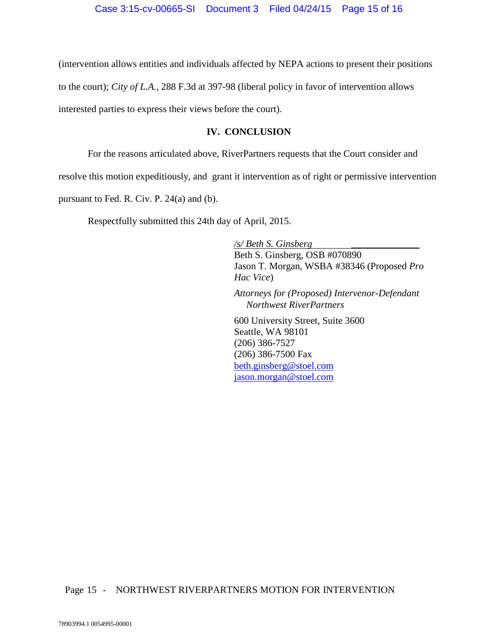(intervention allows entities and individuals affected by NEPA actions to present their positions to the court); *City of L.A.*, 288 F.3d at 397-98 (liberal policy in favor of intervention allows interested parties to express their views before the court).

## **IV. CONCLUSION**

For the reasons articulated above, RiverPartners requests that the Court consider and

resolve this motion expeditiously, and grant it intervention as of right or permissive intervention

pursuant to Fed. R. Civ. P. 24(a) and (b).

Respectfully submitted this 24th day of April, 2015.

*/s/ Beth S. Ginsberg \_\_\_\_\_\_\_\_\_\_\_\_\_\_* Beth S. Ginsberg, OSB #070890 Jason T. Morgan, WSBA #38346 (Proposed *Pro Hac Vice*)

*Attorneys for (Proposed) Intervenor-Defendant Northwest RiverPartners*

600 University Street, Suite 3600 Seattle, WA 98101 (206) 386-7527 (206) 386-7500 Fax [beth.ginsberg@stoel.com](mailto:beth.ginsberg@stoel.com) [jason.morgan@stoel.com](mailto:jason.morgan@stoel.com)

## Page 15 - NORTHWEST RIVERPARTNERS MOTION FOR INTERVENTION